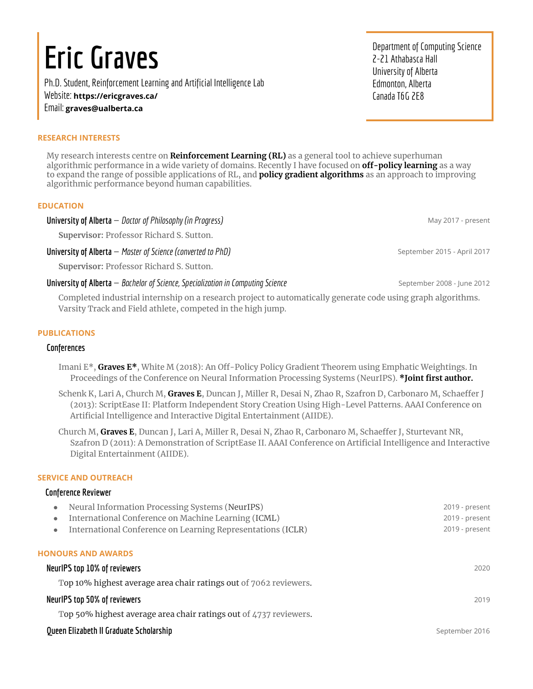# **Eric Graves**

Ph.D.Student, Reinforcement Learningand Artificial Intelligence Lab Website: **<https://ericgraves.ca/>** Email: **[graves@ualberta.ca](mailto:graves@ualberta.ca)**

#### **RESEARCH INTERESTS**

My research interests centre on **Reinforcement Learning (RL)** as a general tool to achieve superhuman algorithmic performance in a wide variety of domains. Recently I have focused on **off-policy learning** as a way to expand the range of possible applications of RL, and **policy gradient algorithms** as an approach to improving algorithmic performance beyond human capabilities.

#### **EDUCATION**

**Universityof Alberta** — *Doctor of Philosophy (in Progress)* May 2017 - present

**Supervisor:** Professor Richard S. Sutton.

**University of Alberta** — *Master of Science (converted to PhD)* September 2015 - April 2017

**Supervisor:** Professor Richard S. Sutton.

#### **University of Alberta** — *Bachelor of Science, Specialization in Computing Science* September 2008 - June 2012

Completed industrial internship on a research project to automatically generate code using graph algorithms. Varsity Track and Field athlete, competed in the high jump.

#### **PUBLICATIONS**

#### **Conferences**

- Imani E\*, **Graves E\***, White M (2018): An Off-Policy Policy Gradient Theorem using Emphatic Weightings. In Proceedings of the Conference on Neural Information Processing Systems (NeurIPS). **\*Joint first author.**
- Schenk K, Lari A, Church M, **Graves E**, Duncan J, Miller R, Desai N, Zhao R, Szafron D, Carbonaro M, Schaeffer J (2013): ScriptEase II: Platform Independent Story Creation Using High-Level Patterns. AAAI Conference on Artificial Intelligence and Interactive Digital Entertainment (AIIDE).
- Church M, **Graves E**, Duncan J, Lari A, Miller R, Desai N, Zhao R, Carbonaro M, Schaeffer J, Sturtevant NR, Szafron D (2011): A Demonstration of ScriptEase II. AAAI Conference on Artificial Intelligence and Interactive Digital Entertainment (AIIDE).

#### **SERVICE AND OUTREACH**

#### **Conference Reviewer**

| Neural Information Processing Systems (NeurIPS)<br>$\bullet$             | 2019 - present |
|--------------------------------------------------------------------------|----------------|
| International Conference on Machine Learning (ICML)<br>$\bullet$         | 2019 - present |
| International Conference on Learning Representations (ICLR)<br>$\bullet$ | 2019 - present |
| <b>HONOURS AND AWARDS</b>                                                |                |
| NeurlPS top 10% of reviewers                                             | 2020           |
| Top 10% highest average area chair ratings out of 7062 reviewers.        |                |
| NeurlPS top 50% of reviewers                                             | 2019           |
| Top 50% highest average area chair ratings out of 4737 reviewers.        |                |
| Queen Elizabeth II Graduate Scholarship                                  | September 2016 |

Department of Computing Science 2-21 Athabasca Hall University of Alberta Edmonton, Alberta Canada T6G 2E8